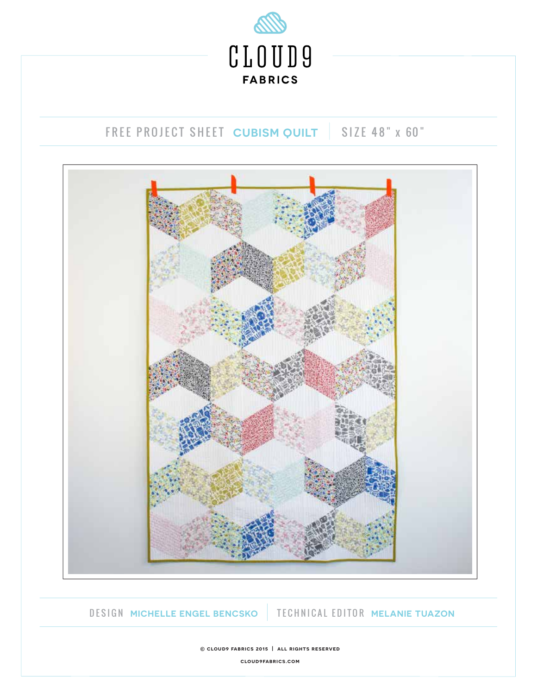

# FREE PROJECT SHEET CUBISM QUILT | SIZE 48" x 60"



DESIGN **MICHELLE ENGEL BENCSKO** TECHNICAL EDITOR **MELANIE TUAZON**

**© cloud9 fabrics 2015 | all rights reserved cloud9fabrics.com**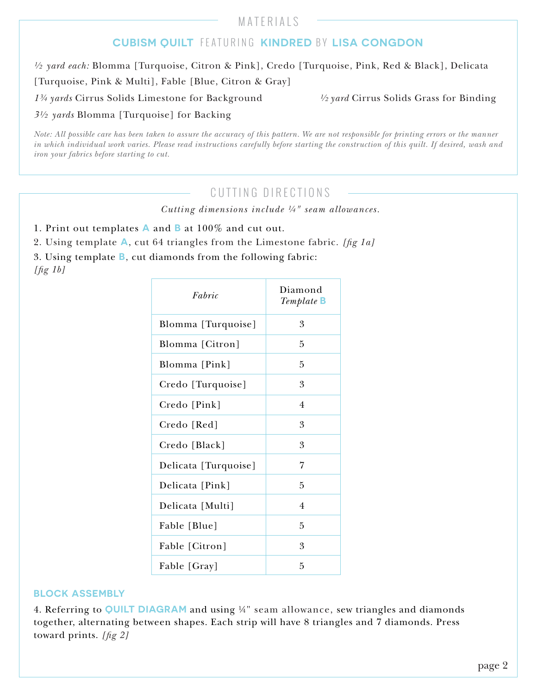MATERIALS

### **CUBISM QUILT** FEATURING **KINDRED** BY **LISA CONGDON**

*½ yard each:* Blomma [Turquoise, Citron & Pink], Credo [Turquoise, Pink, Red & Black], Delicata

[Turquoise, Pink & Multi], Fable [Blue, Citron & Gray]

*1¾ yards* Cirrus Solids Limestone for Background *½ yard* Cirrus Solids Grass for Binding

*3½ yards* Blomma [Turquoise] for Backing

*Note: All possible care has been taken to assure the accuracy of this pattern. We are not responsible for printing errors or the manner in which individual work varies. Please read instructions carefully before starting the construction of this quilt. If desired, wash and iron your fabrics before starting to cut.*

## CUTTING DIRECTIONS

*Cutting dimensions include ¼" seam allowances.*

1. Print out templates **A** and **B** at 100% and cut out.

2. Using template **A**, cut 64 triangles from the Limestone fabric. *[g 1a]*

3. Using template **B**, cut diamonds from the following fabric:

*[g 1b]*

| Fabric               | Diamond<br>Template <b>B</b> |
|----------------------|------------------------------|
| Blomma [Turquoise]   | 3                            |
| Blomma [Citron]      | 5                            |
| Blomma [Pink]        | 5                            |
| Credo [Turquoise]    | 3                            |
| Credo [Pink]         | $\overline{4}$               |
| Credo [Red]          | 3                            |
| Credo [Black]        | 3                            |
| Delicata [Turquoise] | 7                            |
| Delicata [Pink]      | 5                            |
| Delicata [Multi]     | $\overline{4}$               |
| Fable [Blue]         | 5                            |
| Fable [Citron]       | 3                            |
| Fable [Gray]         | 5                            |

#### **BLOCK ASSEMBLY**

4. Referring to **QUILT DIAGRAM** and using ¼" seam allowance, sew triangles and diamonds together, alternating between shapes. Each strip will have 8 triangles and 7 diamonds. Press toward prints. [fig 2]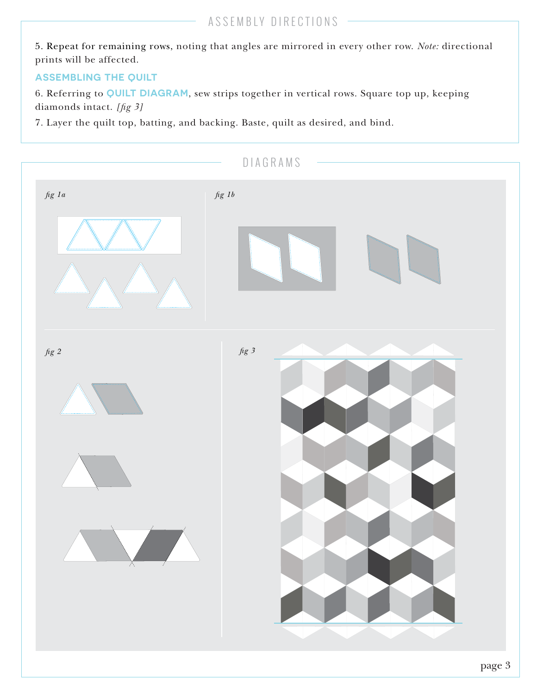5. Repeat for remaining rows, noting that angles are mirrored in every other row. *Note:* directional prints will be affected.

#### **ASSEMBLING THE QUILT**

6. Referring to **QUILT DIAGRAM**, sew strips together in vertical rows. Square top up, keeping diamonds intact. [fig 3]

7. Layer the quilt top, batting, and backing. Baste, quilt as desired, and bind.

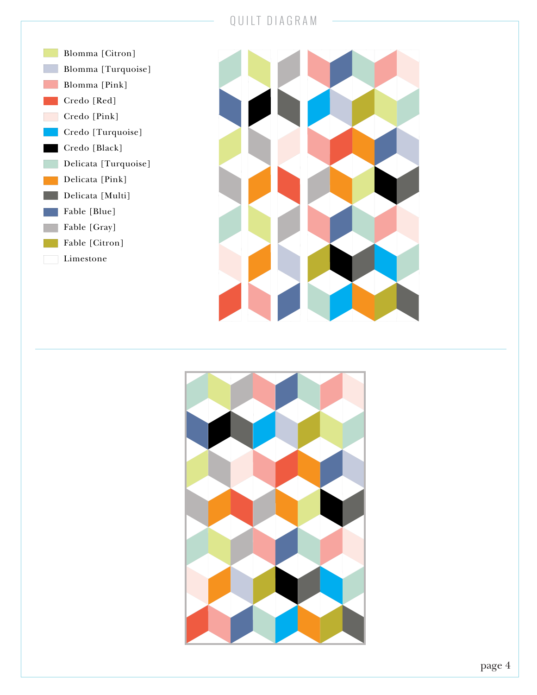### QUILT DIAGRAM





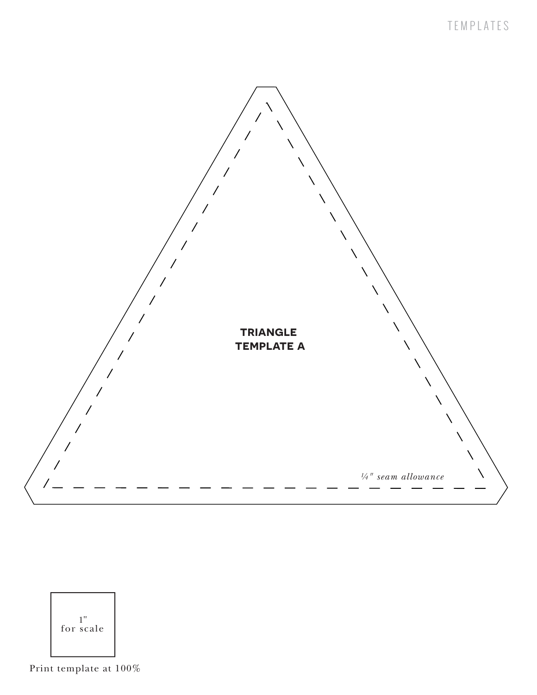



Print template at 100%